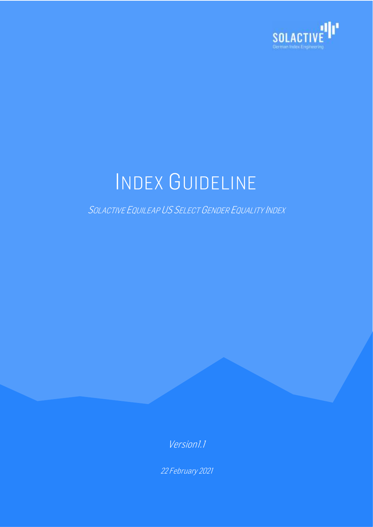

# INDEX GUIDELINE

SOLACTIVE EQUILEAP US SELECT GENDER EQUALITY INDEX

Version1.1

22 February 2021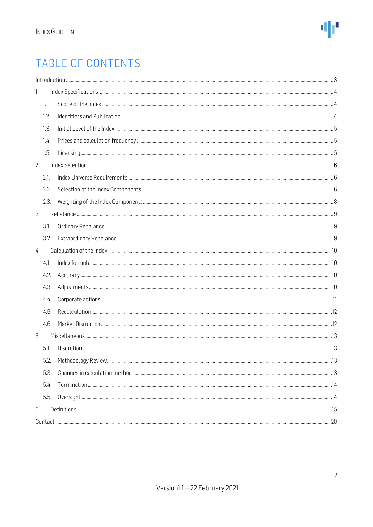

### TABLE OF CONTENTS

| 1.   |  |  |
|------|--|--|
| 1.1. |  |  |
| 1.2. |  |  |
| 1.3. |  |  |
| 1.4. |  |  |
| 1.5. |  |  |
| 2.   |  |  |
| 2.1. |  |  |
| 2.2. |  |  |
| 2.3. |  |  |
| 3.   |  |  |
| 3.1. |  |  |
| 3.2. |  |  |
| 4.   |  |  |
| 4.1. |  |  |
| 4.2. |  |  |
| 4.3. |  |  |
| 4.4. |  |  |
| 4.5. |  |  |
| 4.6. |  |  |
| 5.   |  |  |
| 5.1. |  |  |
| 5.2. |  |  |
| 5.3. |  |  |
| 5.4. |  |  |
| 5.5. |  |  |
| 6.   |  |  |
|      |  |  |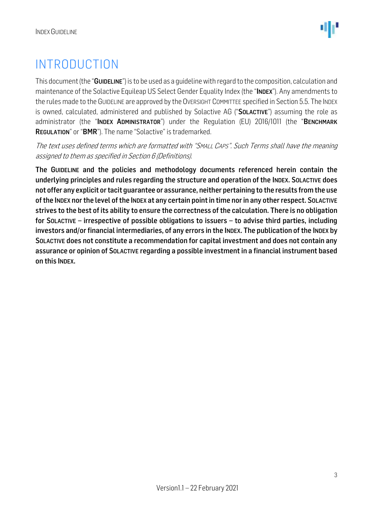### <span id="page-2-0"></span>INTRODUCTION

This document (the "GUIDELINE") is to be used as a quideline with regard to the composition, calculation and maintenance of the Solactive Equileap US Select Gender Equality Index (the "INDEX"). Any amendments to the rules made to the GUIDELINE are approved by the OVERSIGHT COMMITTEE specified in Section 5.5. The INDEX is owned, calculated, administered and published by Solactive AG ("SOLACTIVE") assuming the role as administrator (the "INDEX ADMINISTRATOR") under the Regulation (EU) 2016/1011 (the "BENCHMARK REGULATION" or "BMR"). The name "Solactive" is trademarked.

The text uses defined terms which are formatted with "SMALL CAPS". Such Terms shall have the meaning assigned to them as specified in Section 6 (Definitions).

The GUIDELINE and the policies and methodology documents referenced herein contain the underlying principles and rules regarding the structure and operation of the INDEX. SOLACTIVE does not offer any explicit or tacit guarantee or assurance, neither pertaining to the results from the use of the INDEX nor the level of the INDEX at any certain point in time nor in any other respect. SOLACTIVE strives to the best of its ability to ensure the correctness of the calculation. There is no obligation for SOLACTIVE – irrespective of possible obligations to issuers – to advise third parties, including investors and/or financial intermediaries, of any errors in the INDEX. The publication of the INDEX by SOLACTIVE does not constitute a recommendation for capital investment and does not contain any assurance or opinion of SOLACTIVE regarding a possible investment in a financial instrument based on this INDEX.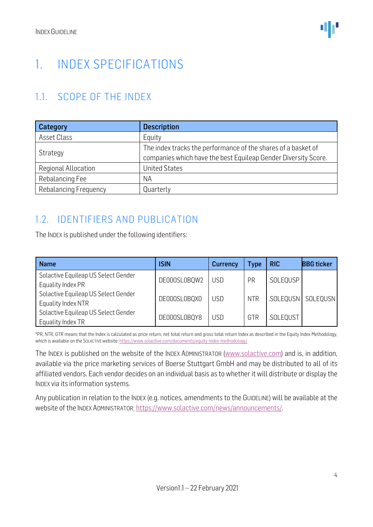### <span id="page-3-0"></span>1. INDEX SPECIFICATIONS

#### <span id="page-3-1"></span>1.1. SCOPE OF THE INDEX

| <b>Category</b>              | <b>Description</b>                                                                                                              |
|------------------------------|---------------------------------------------------------------------------------------------------------------------------------|
| Asset Class                  | Equity                                                                                                                          |
| Strategy                     | The index tracks the performance of the shares of a basket of<br>companies which have the best Equileap Gender Diversity Score. |
| Regional Allocation          | <b>United States</b>                                                                                                            |
| Rebalancing Fee              | <b>NA</b>                                                                                                                       |
| <b>Rebalancing Frequency</b> | Quarterly                                                                                                                       |

#### <span id="page-3-2"></span>1.2. IDENTIFIERS AND PUBLICATION

The INDEX is published under the following identifiers:

| <b>Name</b>                                                                    | <b>ISIN</b>  | <b>Currency</b> | <b>Type</b> | <b>RIC</b> | <b>BBG</b> ticker    |
|--------------------------------------------------------------------------------|--------------|-----------------|-------------|------------|----------------------|
| Solactive Equileap US Select Gender                                            | DE000SL0BQW2 | <b>USD</b>      | PR          | .SOLEQUSP  |                      |
| Equality Index PR<br>Solactive Equileap US Select Gender                       | DE000SL0BQX0 | <b>USD</b>      | <b>NTR</b>  |            | .SOLEQUSN   SOLEQUSN |
| Equality Index NTR<br>Solactive Equileap US Select Gender<br>Equality Index TR | DE000SL0BQY8 | <b>USD</b>      | GTR         | .SOLEQUST  |                      |

\*PR, NTR, GTR means that the Index is calculated as price return, net total return and gross total return Index as described in the Equity Index Methodology, which is available on the SOLACTIVE website[: https://www.solactive.com/documents/equity-index-methodology/](https://www.solactive.com/documents/equity-index-methodology/)

The INDEX is published on the website of the INDEX ADMINISTRATOR [\(www.solactive.com\)](http://www.solactive.com/) and is, in addition, available via the price marketing services of Boerse Stuttgart GmbH and may be distributed to all of its affiliated vendors. Each vendor decides on an individual basis as to whether it will distribute or display the INDEX via its information systems.

Any publication in relation to the INDEX (e.g. notices, amendments to the GUIDELINE) will be available at the website of the INDEX ADMINISTRATOR: [https://www.solactive.com/news/announcements/.](https://www.solactive.com/news/announcements/)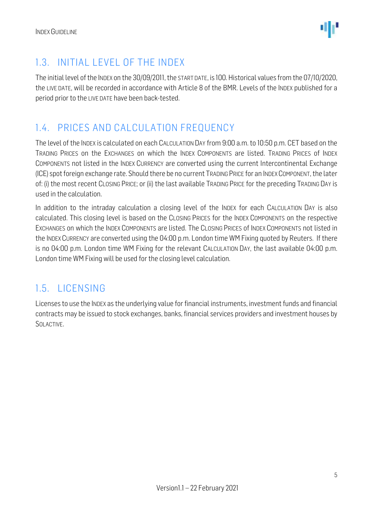

#### <span id="page-4-0"></span>1.3. INITIAL LEVEL OF THE INDEX

The initial level of the INDEX on the 30/09/2011, the START DATE, is 100. Historical values from the 07/10/2020, the LIVE DATE, will be recorded in accordance with Article 8 of the BMR. Levels of the INDEX published for a period prior to the LIVE DATE have been back-tested.

#### <span id="page-4-1"></span>1.4. PRICES AND CALCULATION FREQUENCY

The level of the INDEX is calculated on each CALCULATION DAY from 9:00 a.m. to 10:50 p.m. CET based on the TRADING PRICES on the EXCHANGES on which the INDEX COMPONENTS are listed. TRADING PRICES of INDEX COMPONENTS not listed in the INDEX CURRENCY are converted using the current Intercontinental Exchange (ICE) spot foreign exchange rate. Should there be no current TRADING PRICE for an INDEX COMPONENT, the later of: (i) the most recent CLOSING PRICE; or (ii) the last available TRADING PRICE for the preceding TRADING DAY is used in the calculation.

In addition to the intraday calculation a closing level of the INDEX for each CALCULATION DAY is also calculated. This closing level is based on the CLOSING PRICES for the INDEX COMPONENTS on the respective EXCHANGES on which the INDEX COMPONENTS are listed. The CLOSING PRICES of INDEX COMPONENTS not listed in the INDEX CURRENCY are converted using the 04:00 p.m. London time WM Fixing quoted by Reuters. If there is no 04:00 p.m. London time WM Fixing for the relevant CALCULATION DAY, the last available 04:00 p.m. London time WM Fixing will be used for the closing level calculation.

#### <span id="page-4-2"></span>1.5. LICENSING

Licenses to use the INDEX as the underlying value for financial instruments, investment funds and financial contracts may be issued to stock exchanges, banks, financial services providers and investment houses by SOLACTIVE.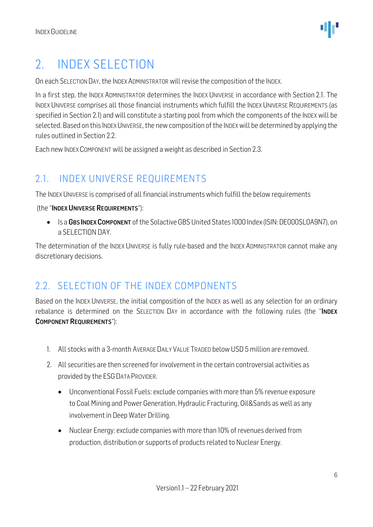### <span id="page-5-0"></span>2. INDEX SELECTION

On each SELECTION DAY, the INDEX ADMINISTRATOR will revise the composition of the INDEX.

In a first step, the INDEX ADMINISTRATOR determines the INDEX UNIVERSE in accordance with Section 2.1. The INDEX UNIVERSE comprises all those financial instruments which fulfill the INDEX UNIVERSE REQUIREMENTS (as specified in Section 2.1) and will constitute a starting pool from which the components of the INDEX will be selected. Based on this INDEX UNIVERSE, the new composition of the INDEX will be determined by applying the rules outlined in Section 2.2.

Each new INDEX COMPONENT will be assigned a weight as described in Section 2.3.

#### <span id="page-5-1"></span>2.1. INDEX UNIVERSE REQUIREMENTS

The INDEX UNIVERSE is comprised of all financial instruments which fulfill the below requirements

(the "INDEX UNIVERSE REQUIREMENTS"):

• Is a GBS INDEX COMPONENT of the Solactive GBS United States 1000 Index (ISIN: DE000SL0A9N7), on a SELECTION DAY.

The determination of the INDEX UNIVERSE is fully rule-based and the INDEX ADMINISTRATOR cannot make any discretionary decisions.

#### <span id="page-5-2"></span>2.2. SELECTION OF THE INDEX COMPONENTS

Based on the INDEX UNIVERSE, the initial composition of the INDEX as well as any selection for an ordinary rebalance is determined on the SELECTION DAY in accordance with the following rules (the "INDEX COMPONENT REQUIREMENTS"):

- 1. All stocks with a 3-month AVERAGEDAILY VALUE TRADED below USD 5 million are removed.
- 2. All securities are then screened for involvement in the certain controversial activities as provided by the ESG DATA PROVIDER.
	- Unconventional Fossil Fuels: exclude companies with more than 5% revenue exposure to Coal Mining and Power Generation, Hydraulic Fracturing, Oil&Sands as well as any involvement in Deep Water Drilling.
	- Nuclear Energy: exclude companies with more than 10% of revenues derived from production, distribution or supports of products related to Nuclear Energy.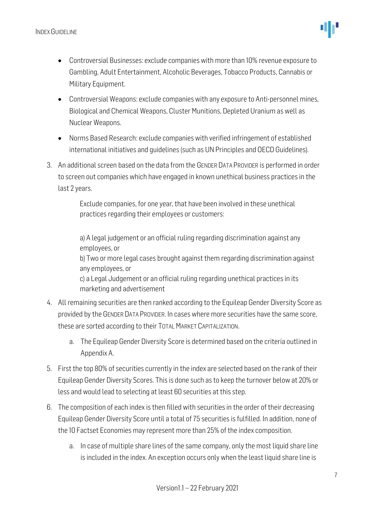

- Controversial Businesses: exclude companies with more than 10% revenue exposure to Gambling, Adult Entertainment, Alcoholic Beverages, Tobacco Products, Cannabis or Military Equipment.
- Controversial Weapons: exclude companies with any exposure to Anti-personnel mines, Biological and Chemical Weapons, Cluster Munitions, Depleted Uranium as well as Nuclear Weapons.
- Norms Based Research: exclude companies with verified infringement of established international initiatives and guidelines (such as UN Principles and OECD Guidelines).
- 3. An additional screen based on the data from the GENDER DATA PROVIDER is performed in order to screen out companies which have engaged in known unethical business practices in the last 2 years.

Exclude companies, for one year, that have been involved in these unethical practices regarding their employees or customers:

a) A legal judgement or an official ruling regarding discrimination against any employees, or b) Two or more legal cases brought against them regarding discrimination against any employees, or c) a Legal Judgement or an official ruling regarding unethical practices in its marketing and advertisement

- 4. All remaining securities are then ranked according to the Equileap Gender Diversity Score as provided by the GENDER DATA PROVIDER. In cases where more securities have the same score, these are sorted according to their TOTALMARKET CAPITALIZATION.
	- a. The Equileap Gender Diversity Score is determined based on the criteria outlined in Appendix A.
- 5. First the top 80% of securities currently in the index are selected based on the rank of their Equileap Gender Diversity Scores. This is done such as to keep the turnover below at 20% or less and would lead to selecting at least 60 securities at this step.
- 6. The composition of each index is then filled with securities in the order of their decreasing Equileap Gender Diversity Score until a total of 75 securities is fulfilled. In addition, none of the 10 Factset Economies may represent more than 25% of the index composition.
	- a. In case of multiple share lines of the same company, only the most liquid share line is included in the index. An exception occurs only when the least liquid share line is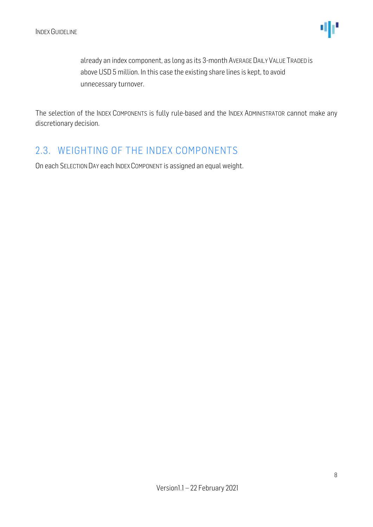

already an index component, as long as its 3-month AVERAGE DAILY VALUE TRADED is above USD 5 million. In this case the existing share lines is kept, to avoid unnecessary turnover.

The selection of the INDEX COMPONENTS is fully rule-based and the INDEX ADMINISTRATOR cannot make any discretionary decision.

#### <span id="page-7-0"></span>2.3. WEIGHTING OF THE INDEX COMPONENTS

On each SELECTION DAY each INDEX COMPONENT is assigned an equal weight.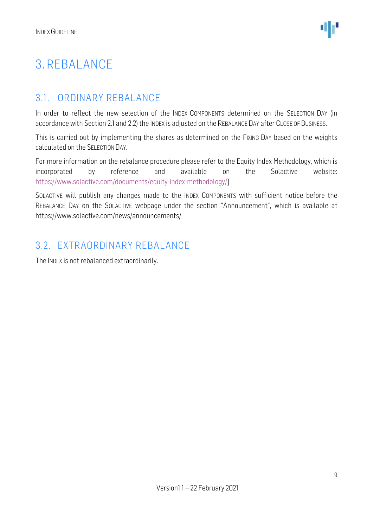### <span id="page-8-0"></span>3. REBALANCE

#### <span id="page-8-1"></span>3.1. ORDINARY REBALANCE

In order to reflect the new selection of the INDEX COMPONENTS determined on the SELECTION DAY (in accordance with Section 2.1 and 2.2) the INDEX is adjusted on the REBALANCE DAY after CLOSE OF BUSINESS.

This is carried out by implementing the shares as determined on the FIXING DAY based on the weights calculated on the SELECTION DAY.

For more information on the rebalance procedure please refer to the Equity Index Methodology, which is incorporated by reference and available on the Solactive website: [https://www.solactive.com/documents/equity-index-methodology/\]](https://www.solactive.com/documents/equity-index-methodology/)

SOLACTIVE will publish any changes made to the INDEX COMPONENTS with sufficient notice before the REBALANCE DAY on the SOLACTIVE webpage under the section "Announcement", which is available at https://www.solactive.com/news/announcements/

#### <span id="page-8-2"></span>3.2. EXTRAORDINARY REBALANCE

The INDEX is not rebalanced extraordinarily.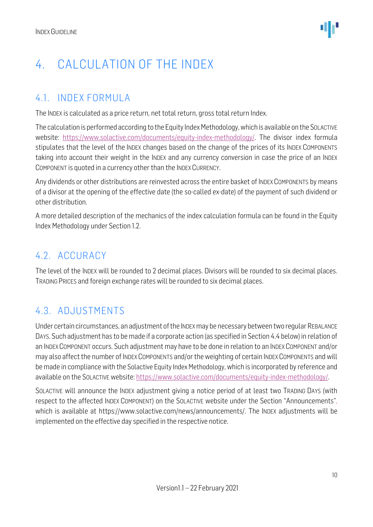### <span id="page-9-0"></span>4. CALCULATION OF THE INDEX

#### <span id="page-9-1"></span>4.1. INDEX FORMULA

The INDEX is calculated as a price return, net total return, gross total return Index.

The calculation is performed according to the Equity Index Methodology, which is available on the SOLACTIVE website: [https://www.solactive.com/documents/equity-index-methodology/.](https://www.solactive.com/documents/equity-index-methodology/) The divisor index formula stipulates that the level of the INDEX changes based on the change of the prices of its INDEX COMPONENTS taking into account their weight in the INDEX and any currency conversion in case the price of an INDEX COMPONENT is quoted in a currency other than the INDEX CURRENCY.

Any dividends or other distributions are reinvested across the entire basket of INDEX COMPONENTS by means of a divisor at the opening of the effective date (the so-called ex-date) of the payment of such dividend or other distribution.

A more detailed description of the mechanics of the index calculation formula can be found in the Equity Index Methodology under Section 1.2.

#### <span id="page-9-2"></span>4.2. ACCURACY

The level of the INDEX will be rounded to 2 decimal places. Divisors will be rounded to six decimal places. TRADING PRICES and foreign exchange rates will be rounded to six decimal places.

#### <span id="page-9-3"></span>4.3. ADJUSTMENTS

Under certain circumstances, an adjustment of the INDEX may be necessary between two regular REBALANCE DAYS. Such adjustment has to be made if a corporate action (as specified in Section 4.4 below) in relation of an INDEX COMPONENT occurs. Such adjustment may have to be done in relation to an INDEX COMPONENT and/or may also affect the number of INDEX COMPONENTS and/or the weighting of certain INDEX COMPONENTS and will be made in compliance with the Solactive Equity Index Methodology, which is incorporated by reference and available on the SOLACTIVE website: [https://www.solactive.com/documents/equity-index-methodology/.](https://www.solactive.com/documents/equity-index-methodology/)

SOLACTIVE will announce the INDEX adjustment giving a notice period of at least two TRADING DAYS (with respect to the affected INDEX COMPONENT) on the SOLACTIVE website under the Section "Announcements", which is available at https://www.solactive.com/news/announcements/. The INDEX adjustments will be implemented on the effective day specified in the respective notice.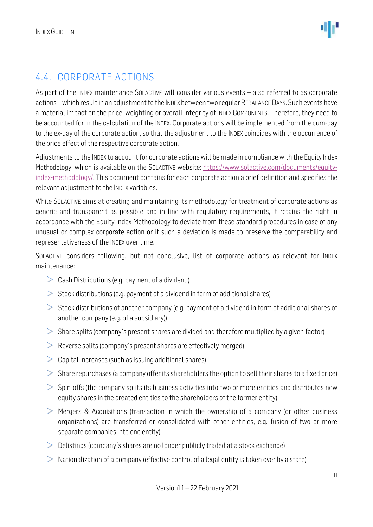#### <span id="page-10-0"></span>4.4. CORPORATE ACTIONS

As part of the INDEX maintenance SOLACTIVE will consider various events – also referred to as corporate actions –which result in an adjustment to the INDEX between two regular REBALANCE DAYS. Such events have a material impact on the price, weighting or overall integrity of INDEX COMPONENTS. Therefore, they need to be accounted for in the calculation of the INDEX. Corporate actions will be implemented from the cum-day to the ex-day of the corporate action, so that the adjustment to the INDEX coincides with the occurrence of the price effect of the respective corporate action.

Adjustments to the INDEX to account for corporate actions will be made in compliance with the Equity Index Methodology, which is available on the SOLACTIVE website: [https://www.solactive.com/documents/equity](https://www.solactive.com/documents/equity-index-methodology/)[index-methodology/.](https://www.solactive.com/documents/equity-index-methodology/) This document contains for each corporate action a brief definition and specifies the relevant adjustment to the INDEX variables.

While SOLACTIVE aims at creating and maintaining its methodology for treatment of corporate actions as generic and transparent as possible and in line with regulatory requirements, it retains the right in accordance with the Equity Index Methodology to deviate from these standard procedures in case of any unusual or complex corporate action or if such a deviation is made to preserve the comparability and representativeness of the INDEX over time.

SOLACTIVE considers following, but not conclusive, list of corporate actions as relevant for INDEX maintenance:

- $\geq$  Cash Distributions (e.g. payment of a dividend)
- $>$  Stock distributions (e.g. payment of a dividend in form of additional shares)
- $>$  Stock distributions of another company (e.g. payment of a dividend in form of additional shares of another company (e.g. of a subsidiary))
- $>$  Share splits (company's present shares are divided and therefore multiplied by a given factor)
- $\geq$  Reverse splits (company's present shares are effectively merged)
- $\geq$  Capital increases (such as issuing additional shares)
- $>$  Share repurchases (a company offer its shareholders the option to sell their shares to a fixed price)
- $>$  Spin-offs (the company splits its business activities into two or more entities and distributes new equity shares in the created entities to the shareholders of the former entity)
- $\geq$  Mergers & Acquisitions (transaction in which the ownership of a company (or other business organizations) are transferred or consolidated with other entities, e.g. fusion of two or more separate companies into one entity)
- $\geq 0$  Delistings (company's shares are no longer publicly traded at a stock exchange)
- $>$  Nationalization of a company (effective control of a legal entity is taken over by a state)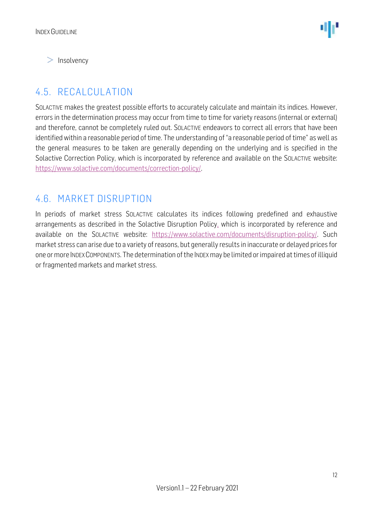$\geq$  Insolvency

#### <span id="page-11-0"></span>4.5. RECALCULATION

SOLACTIVE makes the greatest possible efforts to accurately calculate and maintain its indices. However, errors in the determination process may occur from time to time for variety reasons (internal or external) and therefore, cannot be completely ruled out. SOLACTIVE endeavors to correct all errors that have been identified within a reasonable period of time. The understanding of "a reasonable period of time" as well as the general measures to be taken are generally depending on the underlying and is specified in the Solactive Correction Policy, which is incorporated by reference and available on the SOLACTIVE website: [https://www.solactive.com/documents/correction-policy/.](https://www.solactive.com/documents/correction-policy/)

#### <span id="page-11-1"></span>4.6. MARKET DISRUPTION

In periods of market stress SOLACTIVE calculates its indices following predefined and exhaustive arrangements as described in the Solactive Disruption Policy, which is incorporated by reference and available on the SOLACTIVE website: [https://www.solactive.com/documents/disruption-policy/.](https://www.solactive.com/documents/disruption-policy/) Such market stress can arise due to a variety of reasons, but generally results in inaccurate or delayed prices for one or more INDEXCOMPONENTS. The determination of the INDEXmay be limited or impaired at times of illiquid or fragmented markets and market stress.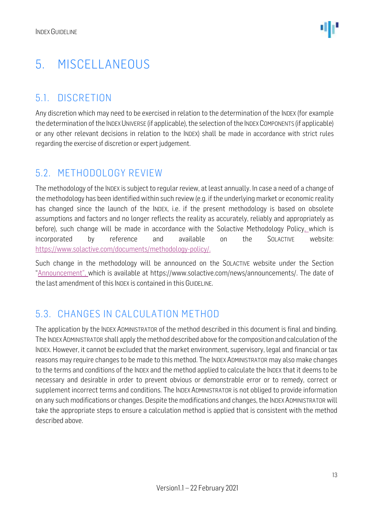### <span id="page-12-0"></span>5. MISCELLANEOUS

#### <span id="page-12-1"></span>5.1. DISCRETION

Any discretion which may need to be exercised in relation to the determination of the INDEX (for example the determination of the INDEX UNIVERSE (if applicable), the selection of the INDEX COMPONENTS (if applicable) or any other relevant decisions in relation to the INDEX) shall be made in accordance with strict rules regarding the exercise of discretion or expert judgement.

#### <span id="page-12-2"></span>5.2. METHODOLOGY REVIEW

The methodology of the INDEX is subject to regular review, at least annually. In case a need of a change of the methodology has been identified within such review (e.g. if the underlying market or economic reality has changed since the launch of the INDEX, i.e. if the present methodology is based on obsolete assumptions and factors and no longer reflects the reality as accurately, reliably and appropriately as before), such change will be made in accordance with the Solactive Methodology Policy, which is incorporated by reference and available on the SOLACTIVE website: [https://www.solactive.com/documents/methodology-policy/.](https://www.solactive.com/documents/methodology-policy/)

Such change in the methodology will be announced on the SOLACTIVE website under the Section "Announcement", which is available at https://www.solactive.com/news/announcements/. The date of the last amendment of this INDEX is contained in this GUIDELINE.

#### <span id="page-12-3"></span>5.3. CHANGES IN CALCULATION METHOD

The application by the INDEX ADMINISTRATOR of the method described in this document is final and binding. The INDEXADMINISTRATOR shall apply the method described above for the composition and calculation of the INDEX. However, it cannot be excluded that the market environment, supervisory, legal and financial or tax reasons may require changes to be made to this method. The INDEX ADMINISTRATOR may also make changes to the terms and conditions of the INDEX and the method applied to calculate the INDEX that it deems to be necessary and desirable in order to prevent obvious or demonstrable error or to remedy, correct or supplement incorrect terms and conditions. The INDEX ADMINISTRATOR is not obliged to provide information on any such modifications or changes. Despite the modifications and changes, the INDEX ADMINISTRATOR will take the appropriate steps to ensure a calculation method is applied that is consistent with the method described above.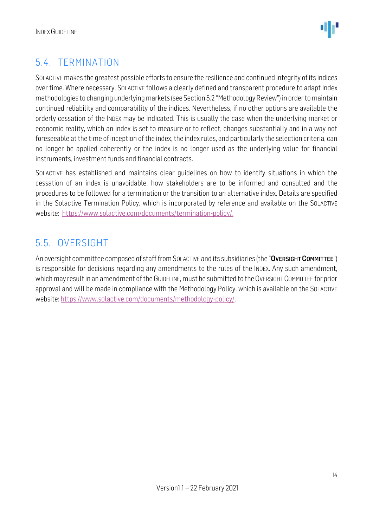

#### <span id="page-13-0"></span>5.4. TERMINATION

SOLACTIVE makes the greatest possible efforts to ensure the resilience and continued integrity of its indices over time. Where necessary, SOLACTIVE follows a clearly defined and transparent procedure to adapt Index methodologies to changing underlying markets (see Section 5.2 "Methodology Review") in order to maintain continued reliability and comparability of the indices. Nevertheless, if no other options are available the orderly cessation of the INDEX may be indicated. This is usually the case when the underlying market or economic reality, which an index is set to measure or to reflect, changes substantially and in a way not foreseeable at the time of inception of the index, the index rules, and particularly the selection criteria, can no longer be applied coherently or the index is no longer used as the underlying value for financial instruments, investment funds and financial contracts.

SOLACTIVE has established and maintains clear guidelines on how to identify situations in which the cessation of an index is unavoidable, how stakeholders are to be informed and consulted and the procedures to be followed for a termination or the transition to an alternative index. Details are specified in the Solactive Termination Policy, which is incorporated by reference and available on the SOLACTIVE website: [https://www.solactive.com/documents/termination-policy/.](https://www.solactive.com/documents/termination-policy/)

#### <span id="page-13-1"></span>5.5. OVERSIGHT

An oversight committee composed of staff from SOLACTIVE and its subsidiaries (the "OVERSIGHT COMMITTEE") is responsible for decisions regarding any amendments to the rules of the INDEX. Any such amendment, which may result in an amendment of the GUIDELINE, must be submitted to the OVERSIGHT COMMITTEE for prior approval and will be made in compliance with the [Methodology](http://methodology/) Policy, which is available on the SOLACTIVE website: [https://www.solactive.com/documents/methodology-policy/.](https://www.solactive.com/documents/methodology-policy/)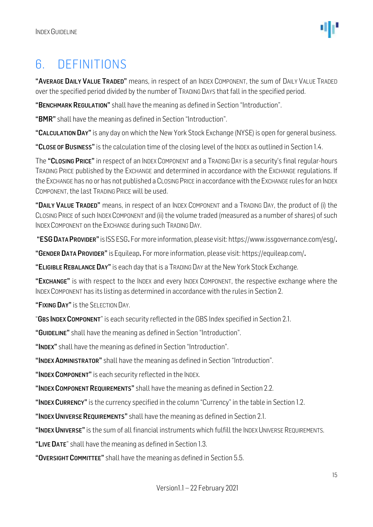

### <span id="page-14-0"></span>6. DEFINITIONS

"AVERAGE DAILY VALUE TRADED" means, in respect of an INDEX COMPONENT, the sum of DAILY VALUE TRADED over the specified period divided by the number of TRADING DAYS that fall in the specified period.

"BENCHMARK REGULATION" shall have the meaning as defined in Section "Introduction".

"BMR" shall have the meaning as defined in Section "Introduction".

"CALCULATION DAY" is any day on which the New York Stock Exchange (NYSE) is open for general business.

"CLOSE OF BUSINESS" is the calculation time of the closing level of the INDEX as outlined in Section 1.4.

The "CLOSING PRICE" in respect of an INDEX COMPONENT and a TRADING DAY is a security's final regular-hours TRADING PRICE published by the EXCHANGE and determined in accordance with the EXCHANGE regulations. If the EXCHANGE has no or has not published a CLOSING PRICE in accordance with the EXCHANGE rules for an INDEX COMPONENT, the last TRADING PRICE will be used.

"DAILY VALUE TRADED" means, in respect of an INDEX COMPONENT and a TRADING DAY, the product of (i) the CLOSING PRICE of such INDEX COMPONENT and (ii) the volume traded (measured as a number of shares) of such INDEX COMPONENT on the EXCHANGE during such TRADING DAY.

"ESG DATA PROVIDER" is ISS ESG. For more information, please visit: https://www.issgovernance.com/esg/.

"GENDER DATA PROVIDER" is Equileap. For more information, please visit: https://equileap.com/.

"ELIGIBLE REBALANCE DAY" is each day that is a TRADING DAY at the New York Stock Exchange.

"EXCHANGE" is with respect to the INDEX and every INDEX COMPONENT, the respective exchange where the INDEX COMPONENT has its listing as determined in accordance with the rules in Section 2.

"FIXING DAY" is the SELECTION DAY.

"GBS INDEX COMPONENT" is each security reflected in the GBS Index specified in Section 2.1.

"GUIDELINE" shall have the meaning as defined in Section "Introduction".

"INDEX" shall have the meaning as defined in Section "Introduction".

"INDEX ADMINISTRATOR" shall have the meaning as defined in Section "Introduction".

"INDEX COMPONENT" is each security reflected in the INDEX.

"INDEX COMPONENT REQUIREMENTS" shall have the meaning as defined in Section 2.2.

"INDEX CURRENCY" is the currency specified in the column "Currency" in the table in Section 1.2.

"INDEX UNIVERSE REQUIREMENTS" shall have the meaning as defined in Section 2.1.

"INDEX UNIVERSE" is the sum of all financial instruments which fulfill the INDEX UNIVERSE REQUIREMENTS.

"LIVE DATE" shall have the meaning as defined in Section 1.3.

"OVERSIGHT COMMITTEE" shall have the meaning as defined in Section 5.5.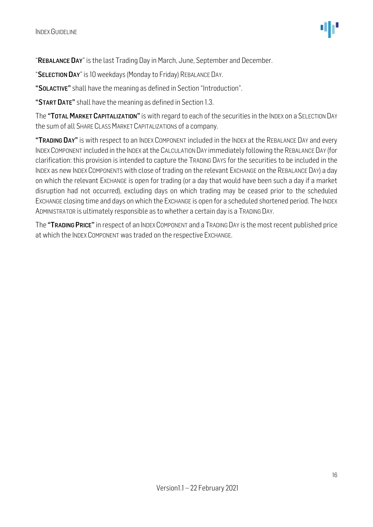"REBALANCE DAY" is the last Trading Day in March, June, September and December.

"SELECTION DAY" is 10 weekdays (Monday to Friday) REBALANCE DAY.

"SOLACTIVE" shall have the meaning as defined in Section "Introduction".

"START DATE" shall have the meaning as defined in Section 1.3.

The "TOTAL MARKET CAPITALIZATION" is with regard to each of the securities in the INDEX on a SELECTION DAY the sum of all SHARE CLASS MARKET CAPITALIZATIONs of a company.

"TRADING DAY" is with respect to an INDEX COMPONENT included in the INDEX at the REBALANCE DAY and every INDEXCOMPONENT included in the INDEX at the CALCULATION DAY immediately following the REBALANCE DAY (for clarification: this provision is intended to capture the TRADING DAYS for the securities to be included in the INDEX as new INDEX COMPONENTS with close of trading on the relevant EXCHANGE on the REBALANCE DAY) a day on which the relevant EXCHANGE is open for trading (or a day that would have been such a day if a market disruption had not occurred), excluding days on which trading may be ceased prior to the scheduled EXCHANGE closing time and days on which the EXCHANGE is open for a scheduled shortened period. The INDEX ADMINISTRATOR is ultimately responsible as to whether a certain day is a TRADING DAY.

The "TRADING PRICE" in respect of an INDEX COMPONENT and a TRADING DAY is the most recent published price at which the INDEX COMPONENT was traded on the respective EXCHANGE.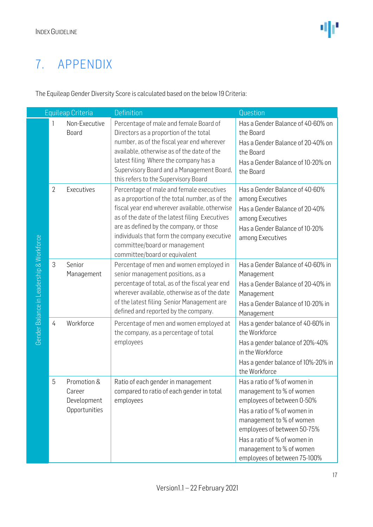### 7. APPENDIX

The Equileap Gender Diversity Score is calculated based on the below 19 Criteria:

| Equileap Criteria                        |                |                                                       | Definition                                                                                                                                                                                                                                                                                                                                                | Question                                                                                                                                                                                                                                                                      |  |
|------------------------------------------|----------------|-------------------------------------------------------|-----------------------------------------------------------------------------------------------------------------------------------------------------------------------------------------------------------------------------------------------------------------------------------------------------------------------------------------------------------|-------------------------------------------------------------------------------------------------------------------------------------------------------------------------------------------------------------------------------------------------------------------------------|--|
|                                          |                | Non-Executive<br><b>Board</b>                         | Percentage of male and female Board of<br>Directors as a proportion of the total<br>number, as of the fiscal year end wherever<br>available, otherwise as of the date of the<br>latest filing Where the company has a<br>Supervisory Board and a Management Board,<br>this refers to the Supervisory Board                                                | Has a Gender Balance of 40-60% on<br>the Board<br>Has a Gender Balance of 20-40% on<br>the Board<br>Has a Gender Balance of 10-20% on<br>the Board                                                                                                                            |  |
|                                          | $\overline{2}$ | Executives                                            | Percentage of male and female executives<br>as a proportion of the total number, as of the<br>fiscal year end wherever available, otherwise<br>as of the date of the latest filing Executives<br>are as defined by the company, or those<br>individuals that form the company executive<br>committee/board or management<br>committee/board or equivalent | Has a Gender Balance of 40-60%<br>among Executives<br>Has a Gender Balance of 20-40%<br>among Executives<br>Has a Gender Balance of 10-20%<br>among Executives                                                                                                                |  |
| Gender Balance in Leadership & Workforce | 3              | Senior<br>Management                                  | Percentage of men and women employed in<br>senior management positions, as a<br>percentage of total, as of the fiscal year end<br>wherever available, otherwise as of the date<br>of the latest filing Senior Management are<br>defined and reported by the company.                                                                                      | Has a Gender Balance of 40-60% in<br>Management<br>Has a Gender Balance of 20-40% in<br>Management<br>Has a Gender Balance of 10-20% in<br>Management                                                                                                                         |  |
|                                          | $\overline{4}$ | Workforce                                             | Percentage of men and women employed at<br>the company, as a percentage of total<br>employees                                                                                                                                                                                                                                                             | Has a gender balance of 40-60% in<br>the Workforce<br>Has a gender balance of 20%-40%<br>in the Workforce<br>Has a gender balance of 10%-20% in<br>the Workforce                                                                                                              |  |
|                                          | 5              | Promotion &<br>Career<br>Development<br>Opportunities | Ratio of each gender in management<br>compared to ratio of each gender in total<br>employees                                                                                                                                                                                                                                                              | Has a ratio of % of women in<br>management to % of women<br>employees of between 0-50%<br>Has a ratio of % of women in<br>management to % of women<br>employees of between 50-75%<br>Has a ratio of % of women in<br>management to % of women<br>employees of between 75-100% |  |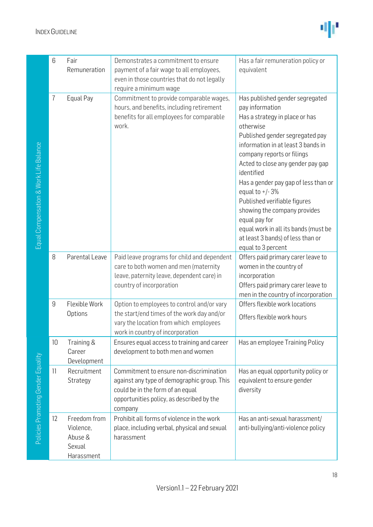

| 6              | Fair<br>Remuneration                                         | Demonstrates a commitment to ensure<br>payment of a fair wage to all employees,<br>even in those countries that do not legally<br>require a minimum wage                           | Has a fair remuneration policy or<br>equivalent                                                                                                                                                                                                                                                                                                                                                                                                                                                             |
|----------------|--------------------------------------------------------------|------------------------------------------------------------------------------------------------------------------------------------------------------------------------------------|-------------------------------------------------------------------------------------------------------------------------------------------------------------------------------------------------------------------------------------------------------------------------------------------------------------------------------------------------------------------------------------------------------------------------------------------------------------------------------------------------------------|
| 7              | Equal Pay                                                    | Commitment to provide comparable wages,<br>hours, and benefits, including retirement<br>benefits for all employees for comparable<br>work.                                         | Has published gender segregated<br>pay information<br>Has a strategy in place or has<br>otherwise<br>Published gender segregated pay<br>information in at least 3 bands in<br>company reports or filings<br>Acted to close any gender pay gap<br>identified<br>Has a gender pay gap of less than or<br>equal to $+/-3%$<br>Published verifiable figures<br>showing the company provides<br>equal pay for<br>equal work in all its bands (must be<br>at least 3 bands) of less than or<br>equal to 3 percent |
| 8              | Parental Leave                                               | Paid leave programs for child and dependent<br>care to both women and men (maternity<br>leave, paternity leave, dependent care) in<br>country of incorporation                     | Offers paid primary carer leave to<br>women in the country of<br>incorporation<br>Offers paid primary carer leave to<br>men in the country of incorporation                                                                                                                                                                                                                                                                                                                                                 |
| $\overline{9}$ | Flexible Work<br>Options                                     | Option to employees to control and/or vary<br>the start/end times of the work day and/or<br>vary the location from which employees<br>work in country of incorporation             | Offers flexible work locations<br>Offers flexible work hours                                                                                                                                                                                                                                                                                                                                                                                                                                                |
| 10             | Training &<br>Career<br>Development                          | Ensures equal access to training and career<br>development to both men and women                                                                                                   | Has an employee Training Policy                                                                                                                                                                                                                                                                                                                                                                                                                                                                             |
| 11             | Recruitment<br>Strategy                                      | Commitment to ensure non-discrimination<br>against any type of demographic group. This<br>could be in the form of an equal<br>opportunities policy, as described by the<br>company | Has an equal opportunity policy or<br>equivalent to ensure gender<br>diversity                                                                                                                                                                                                                                                                                                                                                                                                                              |
| 12             | Freedom from<br>Violence,<br>Abuse &<br>Sexual<br>Harassment | Prohibit all forms of violence in the work<br>place, including verbal, physical and sexual<br>harassment                                                                           | Has an anti-sexual harassment/<br>anti-bullying/anti-violence policy                                                                                                                                                                                                                                                                                                                                                                                                                                        |
|                |                                                              |                                                                                                                                                                                    |                                                                                                                                                                                                                                                                                                                                                                                                                                                                                                             |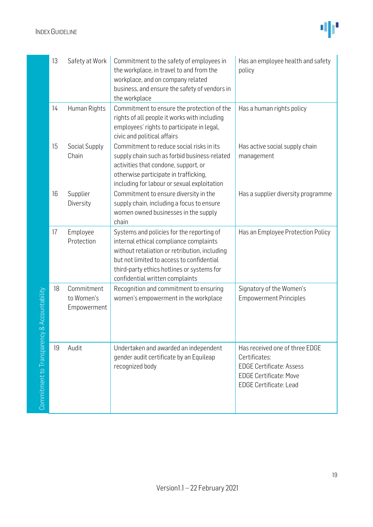

|                            | 13 | Safety at Work                          | Commitment to the safety of employees in<br>the workplace, in travel to and from the<br>workplace, and on company related<br>business, and ensure the safety of vendors in<br>the workplace                                                                        | Has an employee health and safety<br>policy                                                                                                          |
|----------------------------|----|-----------------------------------------|--------------------------------------------------------------------------------------------------------------------------------------------------------------------------------------------------------------------------------------------------------------------|------------------------------------------------------------------------------------------------------------------------------------------------------|
|                            | 14 | Human Rights                            | Commitment to ensure the protection of the<br>rights of all people it works with including<br>employees' rights to participate in legal,<br>civic and political affairs                                                                                            | Has a human rights policy                                                                                                                            |
|                            | 15 | Social Supply<br>Chain                  | Commitment to reduce social risks in its<br>supply chain such as forbid business-related<br>activities that condone, support, or<br>otherwise participate in trafficking,<br>including for labour or sexual exploitation                                           | Has active social supply chain<br>management                                                                                                         |
|                            | 16 | Supplier<br>Diversity                   | Commitment to ensure diversity in the<br>supply chain, including a focus to ensure<br>women owned businesses in the supply<br>chain                                                                                                                                | Has a supplier diversity programme                                                                                                                   |
|                            | 17 | Employee<br>Protection                  | Systems and policies for the reporting of<br>internal ethical compliance complaints<br>without retaliation or retribution, including<br>but not limited to access to confidential<br>third-party ethics hotlines or systems for<br>confidential written complaints | Has an Employee Protection Policy                                                                                                                    |
| / & Accountability         | 18 | Commitment<br>to Women's<br>Empowerment | Recognition and commitment to ensuring<br>women's empowerment in the workplace                                                                                                                                                                                     | Signatory of the Women's<br><b>Empowerment Principles</b>                                                                                            |
| Commitment to Transparency | 19 | Audit                                   | Undertaken and awarded an independent<br>gender audit certificate by an Equileap<br>recognized body                                                                                                                                                                | Has received one of three EDGE<br>Certificates:<br><b>EDGE Certificate: Assess</b><br><b>EDGE Certificate: Move</b><br><b>EDGE Certificate: Lead</b> |